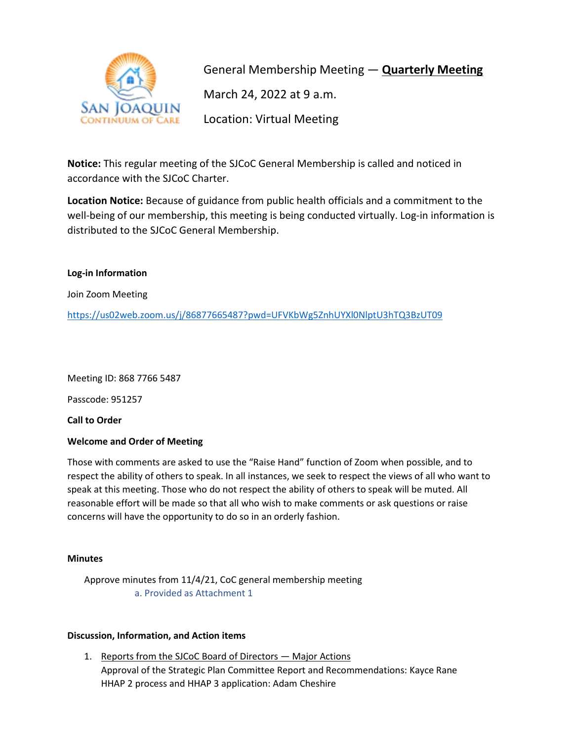

General Membership Meeting — **Quarterly Meeting** March 24, 2022 at 9 a.m. Location: Virtual Meeting

**Notice:** This regular meeting of the SJCoC General Membership is called and noticed in accordance with the SJCoC Charter.

**Location Notice:** Because of guidance from public health officials and a commitment to the well-being of our membership, this meeting is being conducted virtually. Log-in information is distributed to the SJCoC General Membership.

# **Log-in Information**

Join Zoom Meeting

<https://us02web.zoom.us/j/86877665487?pwd=UFVKbWg5ZnhUYXl0NlptU3hTQ3BzUT09>

Meeting ID: 868 7766 5487

Passcode: 951257

**Call to Order**

# **Welcome and Order of Meeting**

Those with comments are asked to use the "Raise Hand" function of Zoom when possible, and to respect the ability of others to speak. In all instances, we seek to respect the views of all who want to speak at this meeting. Those who do not respect the ability of others to speak will be muted. All reasonable effort will be made so that all who wish to make comments or ask questions or raise concerns will have the opportunity to do so in an orderly fashion.

# **Minutes**

Approve minutes from 11/4/21, CoC general membership meeting a. Provided as Attachment 1

# **Discussion, Information, and Action items**

1. Reports from the SJCoC Board of Directors — Major Actions Approval of the Strategic Plan Committee Report and Recommendations: Kayce Rane HHAP 2 process and HHAP 3 application: Adam Cheshire